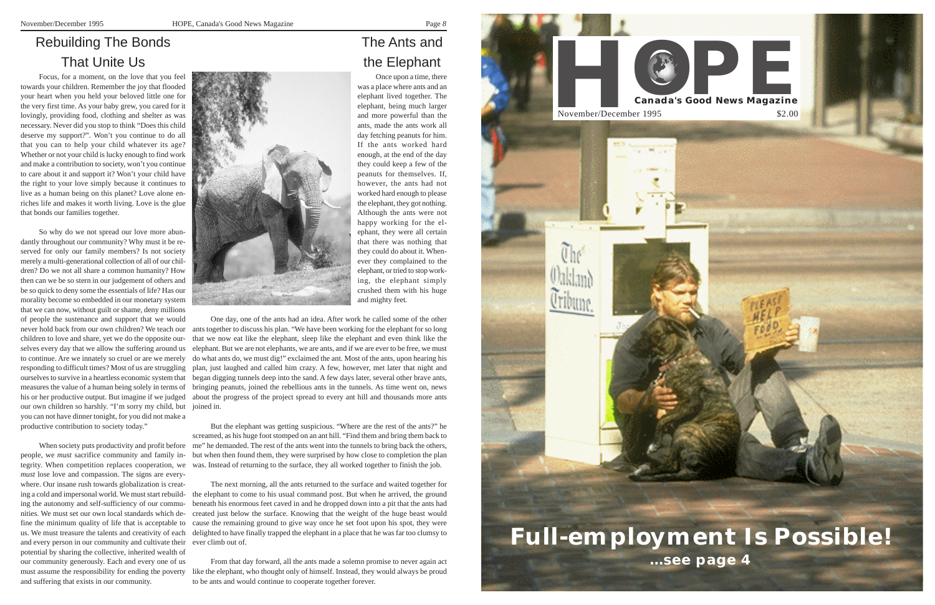# Rebuilding The Bonds That Unite Us

Focus, for a moment, on the love that you feel towards your children. Remember the joy that flooded your heart when you held your beloved little one for the very first time. As your baby grew, you cared for it lovingly, providing food, clothing and shelter as was necessary. Never did you stop to think "Does this child deserve my support?". Won't you continue to do all that you can to help your child whatever its age? Whether or not your child is lucky enough to find work and make a contribution to society, won't you continue to care about it and support it? Won't your child have the right to your love simply because it continues to live as a human being on this planet? Love alone enriches life and makes it worth living. Love is the glue that bonds our families together.

So why do we not spread our love more abundantly throughout our community? Why must it be reserved for only our family members? Is not society merely a multi-generational collection of all of our children? Do we not all share a common humanity? How then can we be so stern in our judgement of others and be so quick to deny some the essentials of life? Has our morality become so embedded in our monetary system that we can now, without guilt or shame, deny millions of people the sustenance and support that we would children to love and share, yet we do the opposite ourselves every day that we allow the suffering around us his or her productive output. But imagine if we judged our own children so harshly. "I'm sorry my child, but joined in. you can not have dinner tonight, for you did not make a productive contribution to society today."

When society puts productivity and profit before people, we *must* sacrifice community and family in*must* lose love and compassion. The signs are everywhere. Our insane rush towards globalization is creating a cold and impersonal world. We must start rebuilding the autonomy and self-sufficiency of our communities. We must set our own local standards which define the minimum quality of life that is acceptable to us. We must treasure the talents and creativity of each and every person in our community and cultivate their ever climb out of. potential by sharing the collective, inherited wealth of our community generously. Each and every one of us and suffering that exists in our community.



The Ants and the Elephant

never hold back from our own children? We teach our ants together to discuss his plan. "We have been working for the elephant for so long to continue. Are we innately so cruel or are we merely do what ants do, we must dig!" exclaimed the ant. Most of the ants, upon hearing his responding to difficult times? Most of us are struggling plan, just laughed and called him crazy. A few, however, met later that night and ourselves to survive in a heartless economic system that began digging tunnels deep into the sand. A few days later, several other brave ants, measures the value of a human being solely in terms of bringing peanuts, joined the rebellious ants in the tunnels. As time went on, news One day, one of the ants had an idea. After work he called some of the other that we now eat like the elephant, sleep like the elephant and even think like the elephant. But we are not elephants, we are ants, and if we are ever to be free, we must about the progress of the project spread to every ant hill and thousands more ants

Once upon a time, there was a place where ants and an elephant lived together. The elephant, being much larger and more powerful than the ants, made the ants work all day fetching peanuts for him. If the ants worked hard enough, at the end of the day they could keep a few of the peanuts for themselves. If, however, the ants had not worked hard enough to please the elephant, they got nothing. Although the ants were not happy working for the elephant, they were all certain that there was nothing that they could do about it. Whenever they complained to the elephant, or tried to stop working, the elephant simply crushed them with his huge and mighty feet.

tegrity. When competition replaces cooperation, we was. Instead of returning to the surface, they all worked together to finish the job. But the elephant was getting suspicious. "Where are the rest of the ants?" he screamed, as his huge foot stomped on an ant hill. "Find them and bring them back to me" he demanded. The rest of the ants went into the tunnels to bring back the others, but when then found them, they were surprised by how close to completion the plan

must assume the responsibility for ending the poverty like the elephant, who thought only of himself. Instead, they would always be proud From that day forward, all the ants made a solemn promise to never again act to be ants and would continue to cooperate together forever.

The next morning, all the ants returned to the surface and waited together for the elephant to come to his usual command post. But when he arrived, the ground beneath his enormous feet caved in and he dropped down into a pit that the ants had created just below the surface. Knowing that the weight of the huge beast would cause the remaining ground to give way once he set foot upon his spot, they were delighted to have finally trapped the elephant in a place that he was far too clumsy to

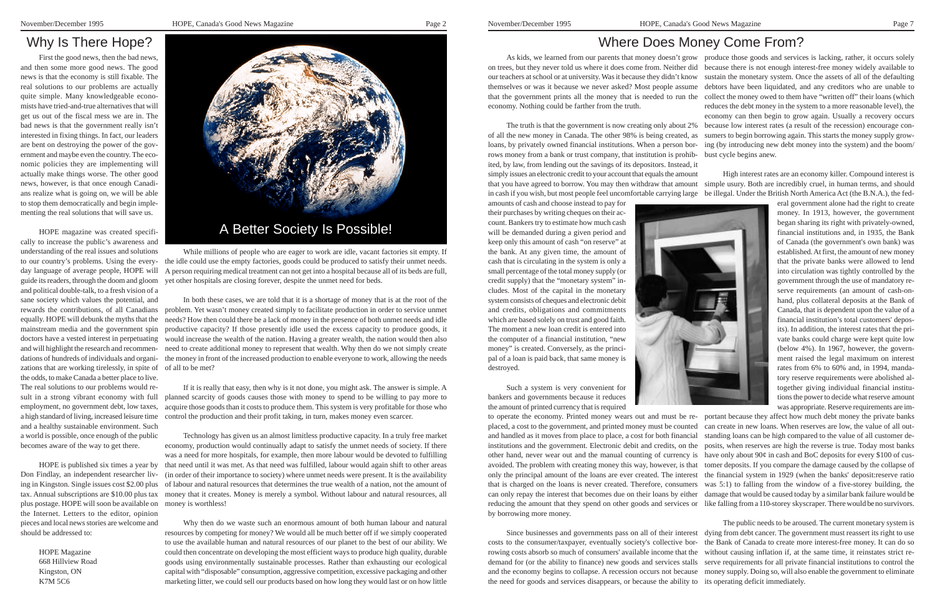## Why Is There Hope?

First the good news, then the bad news, and then some more good news. The good news is that the economy is still fixable. The real solutions to our problems are actually quite simple. Many knowledgeable economists have tried-and-true alternatives that will get us out of the fiscal mess we are in. The bad news is that the government really isn't interested in fixing things. In fact, our leaders are bent on destroying the power of the government and maybe even the country. The economic policies they are implementing will actually make things worse. The other good news, however, is that once enough Canadians realize what is going on, we will be able to stop them democratically and begin implementing the real solutions that will save us.

HOPE magazine was created specifically to increase the public's awareness and understanding of the real issues and solutions guide its readers, through the doom and gloom and political double-talk, to a fresh vision of a sane society which values the potential, and rewards the contributions, of all Canadians equally. HOPE will debunk the myths that the mainstream media and the government spin doctors have a vested interest in perpetuating and will highlight the research and recommendations of hundreds of individuals and organizations that are working tirelessly, in spite of of all to be met? the odds, to make Canada a better place to live. The real solutions to our problems would result in a strong vibrant economy with full employment, no government debt, low taxes, a high standard of living, increased leisure time and a healthy sustainable environment. Such a world is possible, once enough of the public becomes aware of the way to get there.

Don Findlay, an independent researcher livplus postage. HOPE will soon be available on money is worthless! the Internet. Letters to the editor, opinion pieces and local news stories are welcome and should be addressed to:

HOPE Magazine 668 Hillview Road Kingston, ON K7M 5C6

# Where Does Money Come From?

amounts of cash and choose instead to pay for their purchases by writing cheques on their account. Bankers try to estimate how much cash will be demanded during a given period and keep only this amount of cash "on reserve" at the bank. At any given time, the amount of cash that is circulating in the system is only a small percentage of the total money supply (or credit supply) that the "monetary system" includes. Most of the capital in the monetary system consists of cheques and electronic debit and credits, obligations and commitments which are based solely on trust and good faith. The moment a new loan credit is entered into the computer of a financial institution, "new money" is created. Conversely, as the principal of a loan is paid back, that same money is destroyed.



Such a system is very convenient for bankers and governments because it reduces the amount of printed currency that is required

As kids, we learned from our parents that money doesn't grow produce those goods and services is lacking, rather, it occurs solely on trees, but they never told us where it does come from. Neither did because there is not enough interest-free money widely available to our teachers at school or at university. Was it because they didn't know themselves or was it because we never asked? Most people assume that the government prints all the money that is needed to run the collect the money owed to them have "written off" their loans (which economy. Nothing could be farther from the truth. The truth is that the government is now creating only about 2% of all the new money in Canada. The other 98% is being created, as loans, by privately owned financial institutions. When a person borrows money from a bank or trust company, that institution is prohibsustain the monetary system. Once the assets of all of the defaulting debtors have been liquidated, and any creditors who are unable to reduces the debt money in the system to a more reasonable level), the economy can then begin to grow again. Usually a recovery occurs because low interest rates (a result of the recession) encourage consumers to begin borrowing again. This starts the money supply growing (by introducing new debt money into the system) and the boom/ bust cycle begins anew.

ited, by law, from lending out the savings of its depositors. Instead, it simply issues an electronic credit to your account that equals the amount that you have agreed to borrow. You may then withdraw that amount simple usury. Both are incredibly cruel, in human terms, and should in cash if you wish, but most people feel uncomfortable carrying large be illegal. Under the British North America Act (the B.N.A.), the fed-High interest rates are an economy killer. Compound interest is

to our country's problems. Using the every-the idle could use the empty factories, goods could be produced to satisfy their unmet needs. day language of average people, HOPE will A person requiring medical treatment can not get into a hospital because all of its beds are full, While millions of people who are eager to work are idle, vacant factories sit empty. If yet other hospitals are closing forever, despite the unmet need for beds.

> to operate the economy. Printed money wears out and must be re-portant because they affect how much debt money the private banks placed, a cost to the government, and printed money must be counted and handled as it moves from place to place, a cost for both financial standing loans can be high compared to the value of all customer deinstitutions and the government. Electronic debit and credits, on the posits, when reserves are high the reverse is true. Today most banks other hand, never wear out and the manual counting of currency is have only about  $90¢$  in cash and BoC deposits for every \$100 of cusavoided. The problem with creating money this way, however, is that tomer deposits. If you compare the damage caused by the collapse of only the principal amount of the loans are ever created. The interest the financial system in 1929 (when the banks' deposit:reserve ratio that is charged on the loans is never created. Therefore, consumers was 5:1) to falling from the window of a five-storey building, the can only repay the interest that becomes due on their loans by either damage that would be caused today by a similar bank failure would be reducing the amount that they spend on other goods and services or like falling from a 110-storey skyscraper. There would be no survivors. by borrowing more money. can create in new loans. When reserves are low, the value of all out-

HOPE is published six times a year by that need until it was met. As that need was fulfilled, labour would again shift to other areas ing in Kingston. Single issues cost \$2.00 plus of labour and natural resources that determines the true wealth of a nation, not the amount of tax. Annual subscriptions are \$10.00 plus tax money that it creates. Money is merely a symbol. Without labour and natural resources, all Technology has given us an almost limitless productive capacity. In a truly free market economy, production would continually adapt to satisfy the unmet needs of society. If there was a need for more hospitals, for example, then more labour would be devoted to fulfilling (in order of their importance to society) where unmet needs were present. It is the availability

> Since businesses and governments pass on all of their interest dying from debt cancer. The government must reassert its right to use costs to the consumer/taxpayer, eventually society's collective bor-the Bank of Canada to create more interest-free money. It can do so rowing costs absorb so much of consumers' available income that the without causing inflation if, at the same time, it reinstates strict redemand for (or the ability to finance) new goods and services stalls serve requirements for all private financial institutions to control the and the economy begins to collapse. A recession occurs not because money supply. Doing so, will also enable the government to eliminate the need for goods and services disappears, or because the ability to its operating deficit immediately. The public needs to be aroused. The current monetary system is

eral government alone had the right to create money. In 1913, however, the government began sharing its right with privately-owned, financial institutions and, in 1935, the Bank of Canada (the government's own bank) was established. At first, the amount of new money that the private banks were allowed to lend into circulation was tightly controlled by the government through the use of mandatory reserve requirements (an amount of cash-onhand, plus collateral deposits at the Bank of Canada, that is dependent upon the value of a financial institution's total customers' deposits). In addition, the interest rates that the private banks could charge were kept quite low (below 4%). In 1967, however, the government raised the legal maximum on interest rates from 6% to 60% and, in 1994, mandatory reserve requirements were abolished altogether giving individual financial institutions the power to decide what reserve amount was appropriate. Reserve requirements are im-

In both these cases, we are told that it is a shortage of money that is at the root of the problem. Yet wasn't money created simply to facilitate production in order to service unmet needs? How then could there be a lack of money in the presence of both unmet needs and idle productive capacity? If those presently idle used the excess capacity to produce goods, it would increase the wealth of the nation. Having a greater wealth, the nation would then also need to create additional money to represent that wealth. Why then do we not simply create the money in front of the increased production to enable everyone to work, allowing the needs

If it is really that easy, then why is it not done, you might ask. The answer is simple. A planned scarcity of goods causes those with money to spend to be willing to pay more to acquire those goods than it costs to produce them. This system is very profitable for those who control the production and their profit taking, in turn, makes money even scarcer.

Why then do we waste such an enormous amount of both human labour and natural resources by competing for money? We would all be much better off if we simply cooperated to use the available human and natural resources of our planet to the best of our ability. We could then concentrate on developing the most efficient ways to produce high quality, durable goods using environmentally sustainable processes. Rather than exhausting our ecological capital with "disposable" consumption, aggressive competition, excessive packaging and other marketing litter, we could sell our products based on how long they would last or on how little

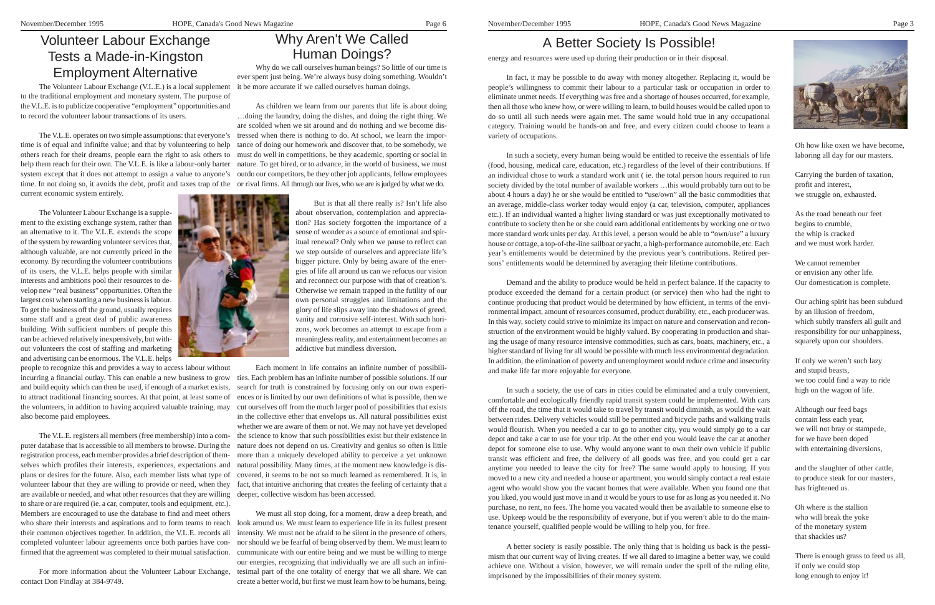# A Better Society Is Possible!

energy and resources were used up during their production or in their disposal.

In fact, it may be possible to do away with money altogether. Replacing it, would be people's willingness to commit their labour to a particular task or occupation in order to eliminate unmet needs. If everything was free and a shortage of houses occurred, for example, then all those who knew how, or were willing to learn, to build houses would be called upon to do so until all such needs were again met. The same would hold true in any occupational category. Training would be hands-on and free, and every citizen could choose to learn a variety of occupations.

In such a society, every human being would be entitled to receive the essentials of life (food, housing, medical care, education, etc.) regardless of the level of their contributions. If an individual chose to work a standard work unit ( ie. the total person hours required to run society divided by the total number of available workers …this would probably turn out to be about 4 hours a day) he or she would be entitled to "use/own" all the basic commodities that an average, middle-class worker today would enjoy (a car, television, computer, appliances etc.). If an individual wanted a higher living standard or was just exceptionally motivated to contribute to society then he or she could earn additional entitlements by working one or two more standard work units per day. At this level, a person would be able to "own/use" a luxury house or cottage, a top-of-the-line sailboat or yacht, a high-performance automobile, etc. Each year's entitlements would be determined by the previous year's contributions. Retired persons' entitlements would be determined by averaging their lifetime contributions.

Demand and the ability to produce would be held in perfect balance. If the capacity to produce exceeded the demand for a certain product (or service) then who had the right to continue producing that product would be determined by how efficient, in terms of the environmental impact, amount of resources consumed, product durability, etc., each producer was. In this way, society could strive to minimize its impact on nature and conservation and reconstruction of the environment would be highly valued. By cooperating in production and sharing the usage of many resource intensive commodities, such as cars, boats, machinery, etc., a higher standard of living for all would be possible with much less environmental degradation. In addition, the elimination of poverty and unemployment would reduce crime and insecurity and make life far more enjoyable for everyone.

In such a society, the use of cars in cities could be eliminated and a truly convenient, comfortable and ecologically friendly rapid transit system could be implemented. With cars off the road, the time that it would take to travel by transit would diminish, as would the wait between rides. Delivery vehicles would still be permitted and bicycle paths and walking trails would flourish. When you needed a car to go to another city, you would simply go to a car depot and take a car to use for your trip. At the other end you would leave the car at another depot for someone else to use. Why would anyone want to own their own vehicle if public transit was efficient and free, the delivery of all goods was free, and you could get a car anytime you needed to leave the city for free? The same would apply to housing. If you moved to a new city and needed a house or apartment, you would simply contact a real estate agent who would show you the vacant homes that were available. When you found one that you liked, you would just move in and it would be yours to use for as long as you needed it. No purchase, no rent, no fees. The home you vacated would then be available to someone else to use. Upkeep would be the responsibility of everyone, but if you weren't able to do the maintenance yourself, qualified people would be willing to help you, for free.

A better society is easily possible. The only thing that is holding us back is the pessimism that our current way of living creates. If we all dared to imagine a better way, we could achieve one. Without a vision, however, we will remain under the spell of the ruling elite, imprisoned by the impossibilities of their money system.



Oh how like oxen we have become, laboring all day for our masters.

Carrying the burden of taxation, profit and interest, we struggle on, exhausted.

As the road beneath our feet begins to crumble, the whip is cracked and we must work harder.

others reach for their dreams, people earn the right to ask others to must do well in competitions, be they academic, sporting or social in help them reach for their own. The V.L.E. is like a labour-only barter nature. To get hired, or to advance, in the world of business, we must system except that it does not attempt to assign a value to anyone's outdo our competitors, be they other job applicants, fellow employees time. In not doing so, it avoids the debt, profit and taxes trap of the or rival firms. All through our lives, who we are is judged by what we do. time is of equal and infinifte value; and that by volunteering to help current economic system entirely.

> We cannot remember or envision any other life. Our domestication is complete.

Our aching spirit has been subdued by an illusion of freedom, which subtly transfers all guilt and responsibility for our unhappiness, squarely upon our shoulders.

If only we weren't such lazy and stupid beasts, we too could find a way to ride high on the wagon of life.

Although our feed bags contain less each year, we will not bray or stampede, for we have been doped with entertaining diversions,

and the slaughter of other cattle, to produce steak for our masters, has frightened us.

incurring a financial outlay. This can enable a new business to grow ties. Each problem has an infinite number of possible solutions. If our the volunteers, in addition to having acquired valuable training, may cut ourselves off from the much larger pool of possibilities that exists people to recognize this and provides a way to access labour without and build equity which can then be used, if enough of a market exists, to attract traditional financing sources. At that point, at least some of also become paid employees.

> Oh where is the stallion who will break the yoke of the monetary system that shackles us?

There is enough grass to feed us all, if only we could stop long enough to enjoy it!

# Why Aren't We Called Human Doings?

Why do we call ourselves human beings? So little of our time is ever spent just being. We're always busy doing something. Wouldn't it be more accurate if we called ourselves human doings.

are available or needed, and what other resources that they are willing deeper, collective wisdom has been accessed. The V.L.E. registers all members (free membership) into a computer database that is accessible to all members to browse. During the registration process, each member provides a brief description of themselves which profiles their interests, experiences, expectations and plans or desires for the future. Also, each member lists what type of volunteer labour that they are willing to provide or need, when they to share or are required (ie. a car, computer, tools and equipment, etc.). Members are encouraged to use the database to find and meet others their common objectives together. In addition, the V.L.E. records all completed volunteer labour agreements once both parties have con-

As children we learn from our parents that life is about doing …doing the laundry, doing the dishes, and doing the right thing. We are scolded when we sit around and do nothing and we become dis-The V.L.E. operates on two simple assumptions: that everyone's tressed when there is nothing to do. At school, we learn the importance of doing our homework and discover that, to be somebody, we



But is that all there really is? Isn't life also about observation, contemplation and appreciation? Has society forgotten the importance of a sense of wonder as a source of emotional and spiritual renewal? Only when we pause to reflect can we step outside of ourselves and appreciate life's bigger picture. Only by being aware of the energies of life all around us can we refocus our vision and reconnect our purpose with that of creation's. Otherwise we remain trapped in the futility of our own personal struggles and limitations and the glory of life slips away into the shadows of greed, vanity and corrosive self-interest. With such horizons, work becomes an attempt to escape from a meaningless reality, and entertainment becomes an addictive but mindless diversion.

Each moment in life contains an infinite number of possibilisearch for truth is constrained by focusing only on our own experiences or is limited by our own definitions of what is possible, then we in the collective ether that envelops us. All natural possibilities exist whether we are aware of them or not. We may not have yet developed the science to know that such possibilities exist but their existence in nature does not depend on us. Creativity and genius so often is little more than a uniquely developed ability to perceive a yet unknown natural possibility. Many times, at the moment new knowledge is discovered, it seems to be not so much learned as remembered. It is, in fact, that intuitive anchoring that creates the feeling of certainty that a

We must all stop doing, for a moment, draw a deep breath, and who share their interests and aspirations and to form teams to reach look around us. We must learn to experience life in its fullest present intensity. We must not be afraid to be silent in the presence of others, nor should we be fearful of being observed by them. We must learn to firmed that the agreement was completed to their mutual satisfaction. communicate with our entire being and we must be willing to merge our energies, recognizing that individually we are all such an infini-For more information about the Volunteer Labour Exchange, tesimal part of the one totality of energy that we all share. We can create a better world, but first we must learn how to be humans, being.

# Volunteer Labour Exchange Tests a Made-in-Kingston Employment Alternative

The Volunteer Labour Exchange (V.L.E.) is a local supplement to the traditional employment and monetary system. The purpose of the V.L.E. is to publicize cooperative "employment" opportunities and to record the volunteer labour transactions of its users.

The Volunteer Labour Exchange is a supplement to the existing exchange system, rather than an alternative to it. The V.L.E. extends the scope of the system by rewarding volunteer services that, although valuable, are not currently priced in the economy. By recording the volunteer contributions of its users, the V.L.E. helps people with similar interests and ambitions pool their resources to develop new "real business" opportunities. Often the largest cost when starting a new business is labour. To get the business off the ground, usually requires some staff and a great deal of public awareness building. With sufficient numbers of people this can be achieved relatively inexpensively, but without volunteers the cost of staffing and marketing and advertising can be enormous. The V.L.E. helps

contact Don Findlay at 384-9749.